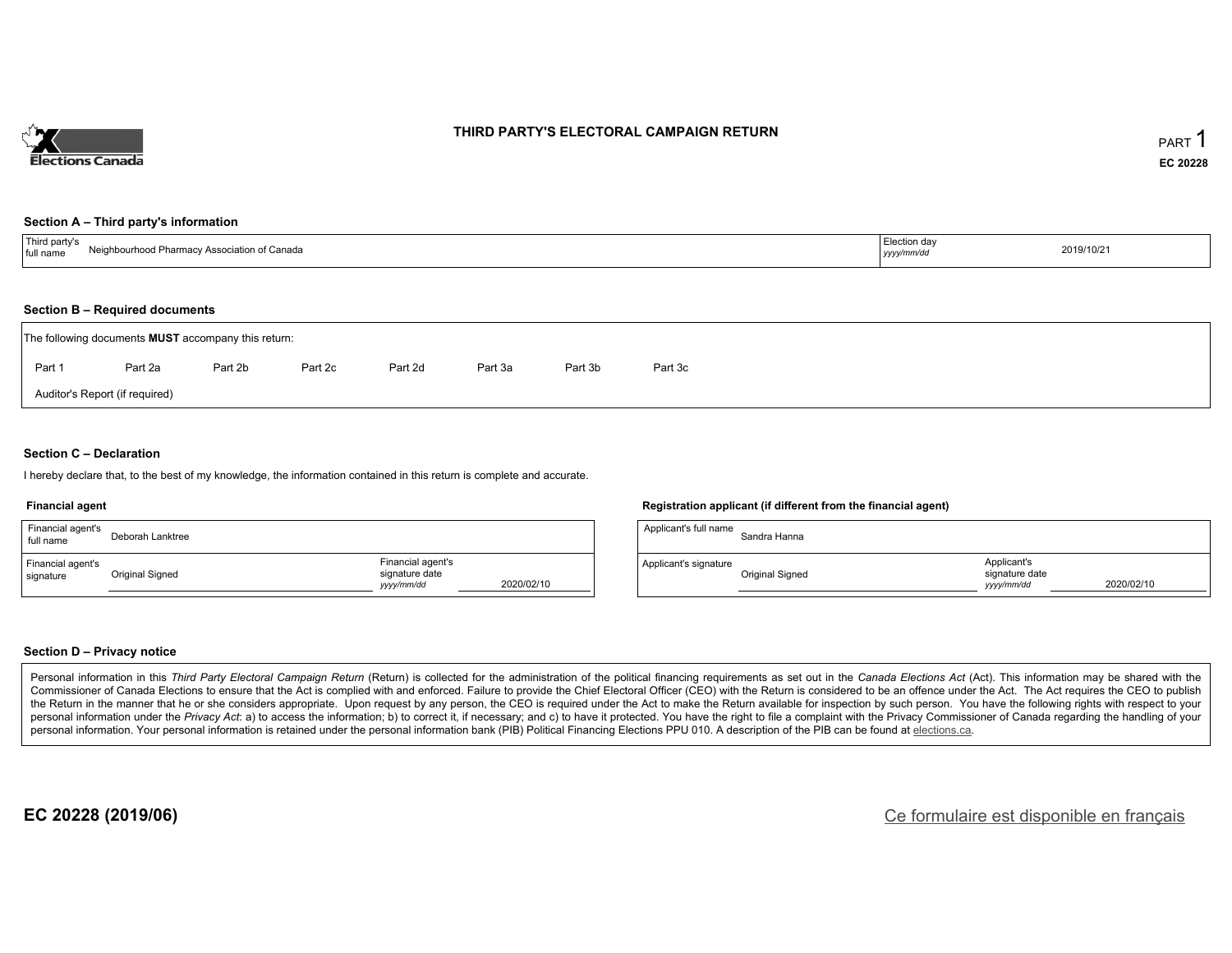

### **THIRD PARTY'S ELECTORAL CAMPAIGN RETURN**

#### **Section A – Third party's information**

| $\overline{\phantom{a}}$<br>/ Association of Canada<br>full name<br>$\mathbf{v}$ | ction davٽٽ<br>, , , , , , , | 2019/10/21 |
|----------------------------------------------------------------------------------|------------------------------|------------|
|----------------------------------------------------------------------------------|------------------------------|------------|

### **Section B – Required documents**

| The following documents <b>MUST</b> accompany this return: |                                |         |         |         |         |         |         |  |  |  |
|------------------------------------------------------------|--------------------------------|---------|---------|---------|---------|---------|---------|--|--|--|
| Part 1                                                     | Part 2a                        | Part 2b | Part 2c | Part 2d | Part 3a | Part 3b | Part 3c |  |  |  |
|                                                            | Auditor's Report (if required) |         |         |         |         |         |         |  |  |  |

### **Section C – Declaration**

I hereby declare that, to the best of my knowledge, the information contained in this return is complete and accurate.

#### **Financial agent**

| Financial agent's<br>full name | Deborah Lanktree |                                                   |            | Applicant's full nar |
|--------------------------------|------------------|---------------------------------------------------|------------|----------------------|
| Financial agent's<br>signature | Original Signed  | Financial agent's<br>signature date<br>yyyy/mm/dd | 2020/02/10 | Applicant's signatu  |

#### **Registration applicant (if different from the financial agent)**

| Applicant's full name | Sandra Hanna           |                                             |            |
|-----------------------|------------------------|---------------------------------------------|------------|
| Applicant's signature | <b>Original Signed</b> | Applicant's<br>signature date<br>vyyy/mm/dd | 2020/02/10 |

### **Section D – Privacy notice**

Personal information in this Third Party Electoral Campaign Return (Return) is collected for the administration of the political financing requirements as set out in the Canada Elections Act (Act). This information may be Commissioner of Canada Elections to ensure that the Act is complied with and enforced. Failure to provide the Chief Electoral Officer (CEO) with the Return is considered to be an offence under the Act. The Act requires the the Return in the manner that he or she considers appropriate. Upon request by any person, the CEO is required under the Act to make the Return available for inspection by such person. You have the following rights with re personal information under the Privacy Act: a) to access the information; b) to correct it, if necessary; and c) to have it protected. You have the right to file a complaint with the Privacy Commissioner of Canada regardin personal information. Your personal information is retained under the personal information bank (PIB) Political Financing Elections PPU 010. A description of the PIB can be found at elections.ca.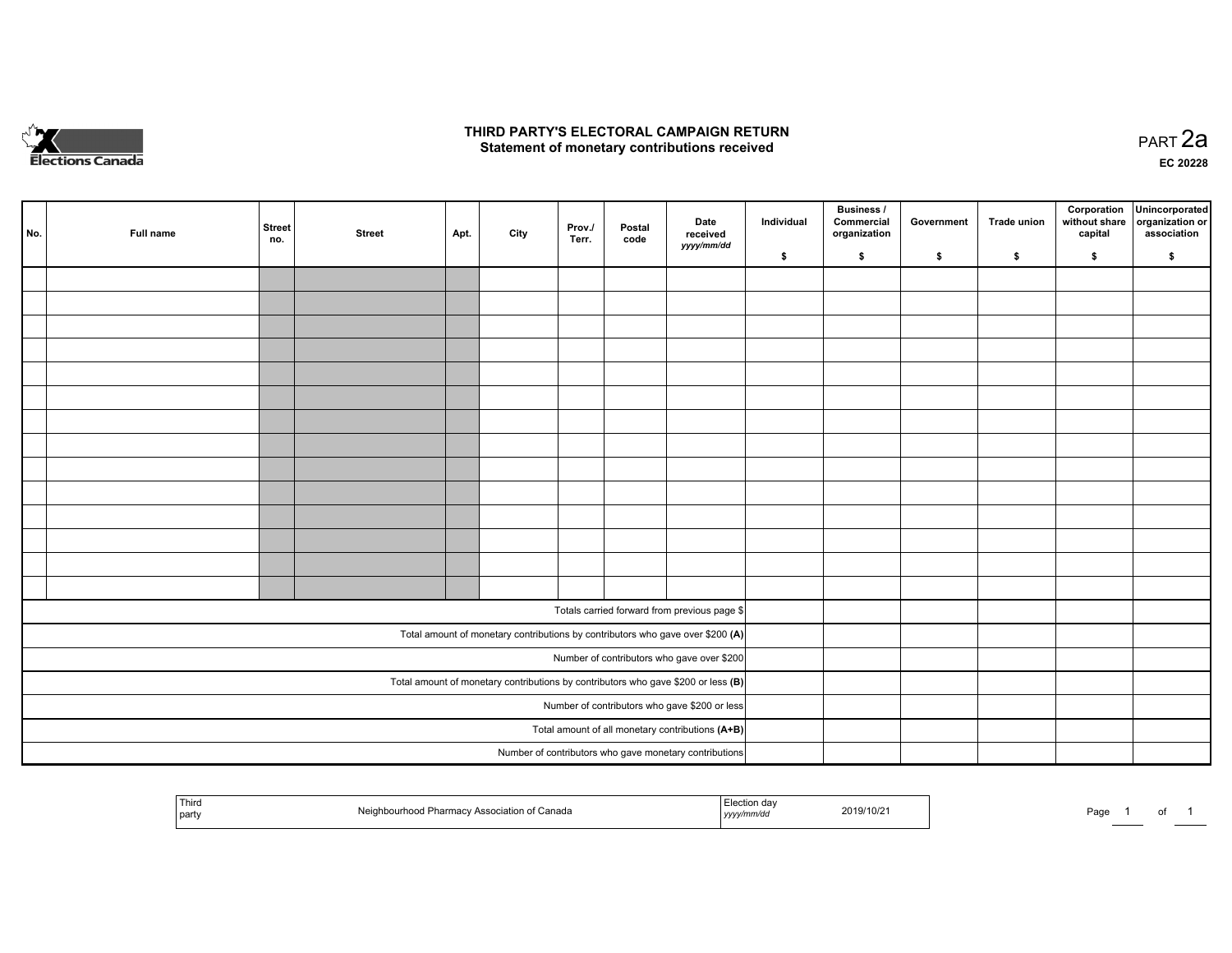

### **THIRD PARTY'S ELECTORAL CAMPAIGN RETURN HIRD PARTY'S ELECTORAL CAMPAIGN RETURN<br>Statement of monetary contributions received PART 2a PART 2a**

**EC 20228**

| No. | Full name | <b>Street</b><br>no. | <b>Street</b> | Apt. | City | Prov./<br>Terr. | Postal<br>code | Date<br>received<br>yyyy/mm/dd                                                      | Individual | <b>Business /</b><br>Commercial<br>organization | Government | Trade union | Corporation<br>without share<br>capital | Unincorporated<br>organization or<br>association |
|-----|-----------|----------------------|---------------|------|------|-----------------|----------------|-------------------------------------------------------------------------------------|------------|-------------------------------------------------|------------|-------------|-----------------------------------------|--------------------------------------------------|
|     |           |                      |               |      |      |                 |                |                                                                                     | \$         | $\mathbf{s}$                                    | \$         | \$          | \$                                      | \$                                               |
|     |           |                      |               |      |      |                 |                |                                                                                     |            |                                                 |            |             |                                         |                                                  |
|     |           |                      |               |      |      |                 |                |                                                                                     |            |                                                 |            |             |                                         |                                                  |
|     |           |                      |               |      |      |                 |                |                                                                                     |            |                                                 |            |             |                                         |                                                  |
|     |           |                      |               |      |      |                 |                |                                                                                     |            |                                                 |            |             |                                         |                                                  |
|     |           |                      |               |      |      |                 |                |                                                                                     |            |                                                 |            |             |                                         |                                                  |
|     |           |                      |               |      |      |                 |                |                                                                                     |            |                                                 |            |             |                                         |                                                  |
|     |           |                      |               |      |      |                 |                |                                                                                     |            |                                                 |            |             |                                         |                                                  |
|     |           |                      |               |      |      |                 |                |                                                                                     |            |                                                 |            |             |                                         |                                                  |
|     |           |                      |               |      |      |                 |                |                                                                                     |            |                                                 |            |             |                                         |                                                  |
|     |           |                      |               |      |      |                 |                |                                                                                     |            |                                                 |            |             |                                         |                                                  |
|     |           |                      |               |      |      |                 |                |                                                                                     |            |                                                 |            |             |                                         |                                                  |
|     |           |                      |               |      |      |                 |                |                                                                                     |            |                                                 |            |             |                                         |                                                  |
|     |           |                      |               |      |      |                 |                |                                                                                     |            |                                                 |            |             |                                         |                                                  |
|     |           |                      |               |      |      |                 |                |                                                                                     |            |                                                 |            |             |                                         |                                                  |
|     |           |                      |               |      |      |                 |                | Totals carried forward from previous page \$                                        |            |                                                 |            |             |                                         |                                                  |
|     |           |                      |               |      |      |                 |                | Total amount of monetary contributions by contributors who gave over \$200 (A)      |            |                                                 |            |             |                                         |                                                  |
|     |           |                      |               |      |      |                 |                | Number of contributors who gave over \$200                                          |            |                                                 |            |             |                                         |                                                  |
|     |           |                      |               |      |      |                 |                | Total amount of monetary contributions by contributors who gave \$200 or less $(B)$ |            |                                                 |            |             |                                         |                                                  |
|     |           |                      |               |      |      |                 |                | Number of contributors who gave \$200 or less                                       |            |                                                 |            |             |                                         |                                                  |
|     |           |                      |               |      |      |                 |                | Total amount of all monetary contributions (A+B)                                    |            |                                                 |            |             |                                         |                                                  |
|     |           |                      |               |      |      |                 |                | Number of contributors who gave monetary contributions                              |            |                                                 |            |             |                                         |                                                  |

|  | Third<br>Neighbourhood Pharmacy Association of Canada<br>party | ⊸uon dar<br>2019/10/2<br>yyyymmvaa | Page |  |  |
|--|----------------------------------------------------------------|------------------------------------|------|--|--|
|--|----------------------------------------------------------------|------------------------------------|------|--|--|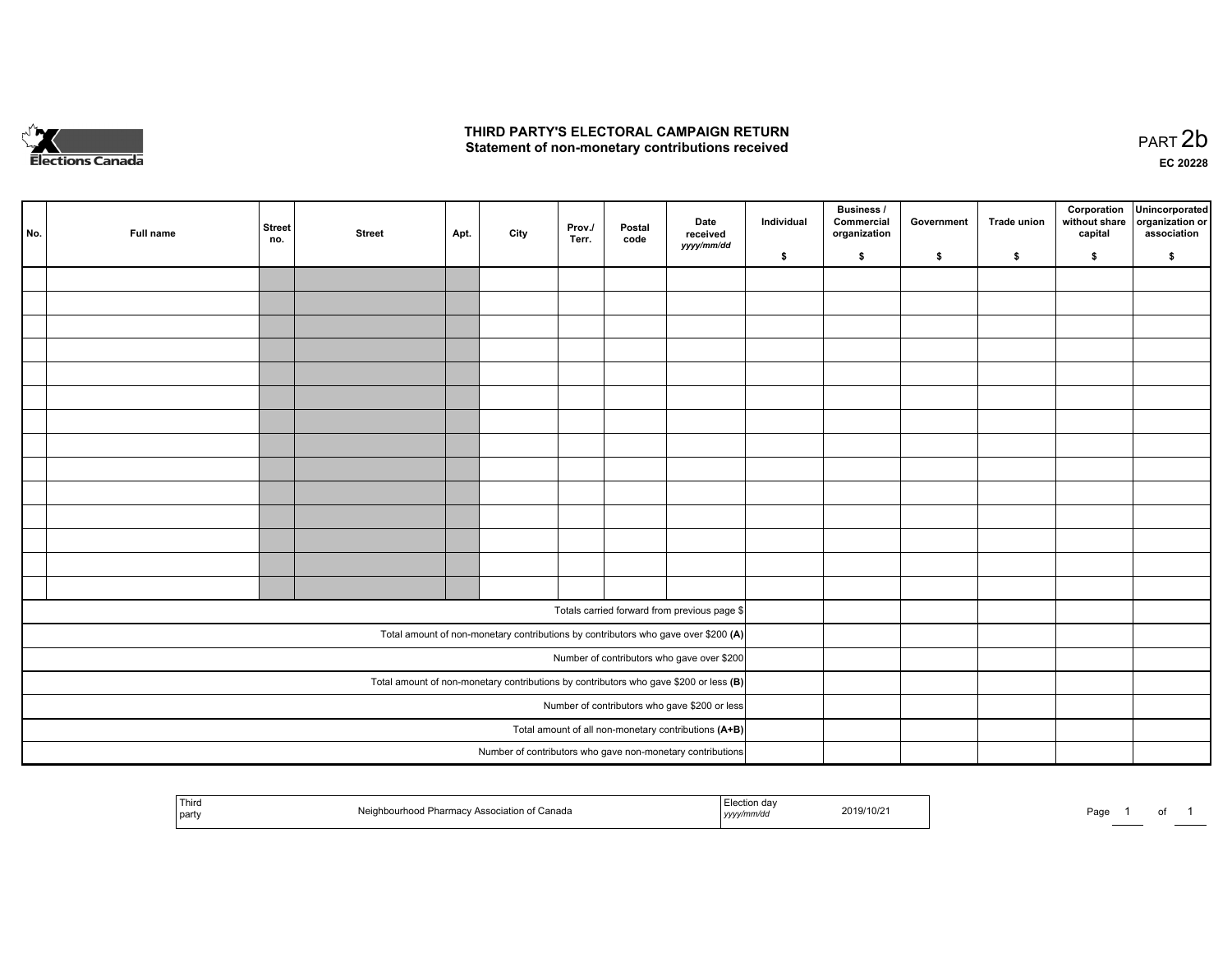

## **THIRD PARTY'S ELECTORAL CAMPAIGN RETURN**  THIRD PARTY'S ELECTORAL CAMPAIGN RETURN<br>Statement of non-monetary contributions received

| No. | Full name | <b>Street</b><br>no. | <b>Street</b> | Apt. | City | Prov./<br>Terr. | Postal<br>code | Date<br>received                                                                        | Individual | <b>Business /</b><br>Commercial<br>organization | Government | <b>Trade union</b> | capital | Corporation Unincorporated<br>without share organization or<br>association |
|-----|-----------|----------------------|---------------|------|------|-----------------|----------------|-----------------------------------------------------------------------------------------|------------|-------------------------------------------------|------------|--------------------|---------|----------------------------------------------------------------------------|
|     |           |                      |               |      |      |                 |                | yyyy/mm/dd                                                                              | \$         | $\mathbf{s}$                                    | \$         | \$                 | \$      | \$                                                                         |
|     |           |                      |               |      |      |                 |                |                                                                                         |            |                                                 |            |                    |         |                                                                            |
|     |           |                      |               |      |      |                 |                |                                                                                         |            |                                                 |            |                    |         |                                                                            |
|     |           |                      |               |      |      |                 |                |                                                                                         |            |                                                 |            |                    |         |                                                                            |
|     |           |                      |               |      |      |                 |                |                                                                                         |            |                                                 |            |                    |         |                                                                            |
|     |           |                      |               |      |      |                 |                |                                                                                         |            |                                                 |            |                    |         |                                                                            |
|     |           |                      |               |      |      |                 |                |                                                                                         |            |                                                 |            |                    |         |                                                                            |
|     |           |                      |               |      |      |                 |                |                                                                                         |            |                                                 |            |                    |         |                                                                            |
|     |           |                      |               |      |      |                 |                |                                                                                         |            |                                                 |            |                    |         |                                                                            |
|     |           |                      |               |      |      |                 |                |                                                                                         |            |                                                 |            |                    |         |                                                                            |
|     |           |                      |               |      |      |                 |                |                                                                                         |            |                                                 |            |                    |         |                                                                            |
|     |           |                      |               |      |      |                 |                |                                                                                         |            |                                                 |            |                    |         |                                                                            |
|     |           |                      |               |      |      |                 |                |                                                                                         |            |                                                 |            |                    |         |                                                                            |
|     |           |                      |               |      |      |                 |                |                                                                                         |            |                                                 |            |                    |         |                                                                            |
|     |           |                      |               |      |      |                 |                |                                                                                         |            |                                                 |            |                    |         |                                                                            |
|     |           |                      |               |      |      |                 |                | Totals carried forward from previous page \$                                            |            |                                                 |            |                    |         |                                                                            |
|     |           |                      |               |      |      |                 |                | Total amount of non-monetary contributions by contributors who gave over \$200 (A)      |            |                                                 |            |                    |         |                                                                            |
|     |           |                      |               |      |      |                 |                | Number of contributors who gave over \$200                                              |            |                                                 |            |                    |         |                                                                            |
|     |           |                      |               |      |      |                 |                | Total amount of non-monetary contributions by contributors who gave \$200 or less $(B)$ |            |                                                 |            |                    |         |                                                                            |
|     |           |                      |               |      |      |                 |                | Number of contributors who gave \$200 or less                                           |            |                                                 |            |                    |         |                                                                            |
|     |           |                      |               |      |      |                 |                | Total amount of all non-monetary contributions (A+B)                                    |            |                                                 |            |                    |         |                                                                            |
|     |           |                      |               |      |      |                 |                |                                                                                         |            |                                                 |            |                    |         |                                                                            |
|     |           |                      |               |      |      |                 |                | Number of contributors who gave non-monetary contributions                              |            |                                                 |            |                    |         |                                                                            |

| Third<br>Association of Canada<br><b>Pharmacy</b><br>.<br>rnood<br>-112<br>NU.<br>party | 2019/10/2<br>l <i>yyyy</i> | Page |
|-----------------------------------------------------------------------------------------|----------------------------|------|
|-----------------------------------------------------------------------------------------|----------------------------|------|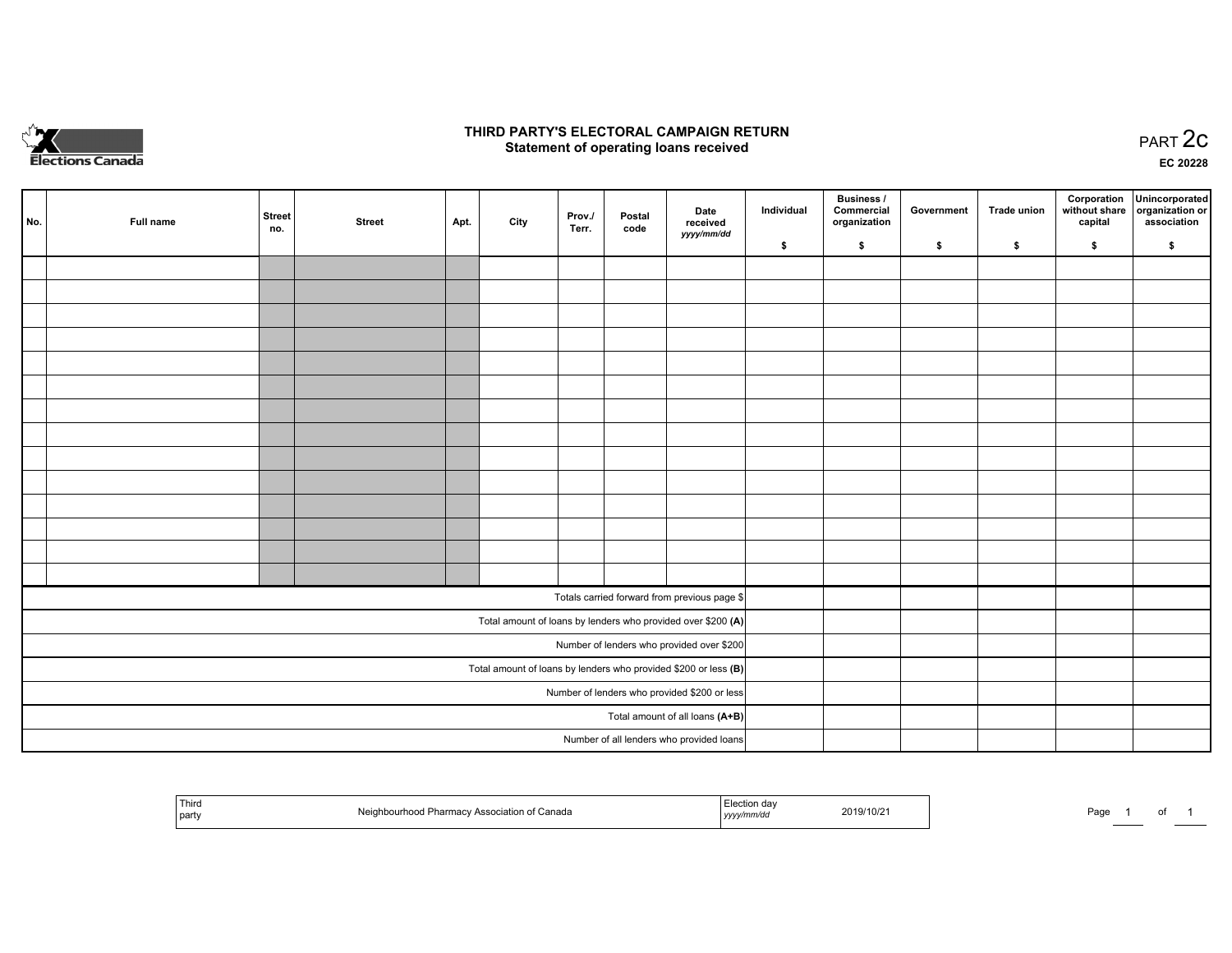

## **THIRD PARTY'S ELECTORAL CAMPAIGN RETURN STATE:** PRACT OF OPPRESS TO PART 2C STATE STATE STATE STATE STATE STATE STATE STATE STATE STATE STATE STATE STA<br>PART 2C Statement of operating loans received

**EC 20228**

| No.                                                               | Full name | <b>Street</b><br>no. | <b>Street</b> | Apt. | City | Prov./<br>Terr. | Postal<br>code | Date<br>received                                             | Individual | <b>Business /</b><br>Commercial<br>organization | Government | <b>Trade union</b> | Corporation<br>capital | Unincorporated<br>without share organization or<br>association |
|-------------------------------------------------------------------|-----------|----------------------|---------------|------|------|-----------------|----------------|--------------------------------------------------------------|------------|-------------------------------------------------|------------|--------------------|------------------------|----------------------------------------------------------------|
|                                                                   |           |                      |               |      |      |                 |                | yyyy/mm/dd                                                   | \$         | \$                                              | \$         | \$                 | \$                     | \$                                                             |
|                                                                   |           |                      |               |      |      |                 |                |                                                              |            |                                                 |            |                    |                        |                                                                |
|                                                                   |           |                      |               |      |      |                 |                |                                                              |            |                                                 |            |                    |                        |                                                                |
|                                                                   |           |                      |               |      |      |                 |                |                                                              |            |                                                 |            |                    |                        |                                                                |
|                                                                   |           |                      |               |      |      |                 |                |                                                              |            |                                                 |            |                    |                        |                                                                |
|                                                                   |           |                      |               |      |      |                 |                |                                                              |            |                                                 |            |                    |                        |                                                                |
|                                                                   |           |                      |               |      |      |                 |                |                                                              |            |                                                 |            |                    |                        |                                                                |
|                                                                   |           |                      |               |      |      |                 |                |                                                              |            |                                                 |            |                    |                        |                                                                |
|                                                                   |           |                      |               |      |      |                 |                |                                                              |            |                                                 |            |                    |                        |                                                                |
|                                                                   |           |                      |               |      |      |                 |                |                                                              |            |                                                 |            |                    |                        |                                                                |
|                                                                   |           |                      |               |      |      |                 |                |                                                              |            |                                                 |            |                    |                        |                                                                |
|                                                                   |           |                      |               |      |      |                 |                |                                                              |            |                                                 |            |                    |                        |                                                                |
|                                                                   |           |                      |               |      |      |                 |                |                                                              |            |                                                 |            |                    |                        |                                                                |
|                                                                   |           |                      |               |      |      |                 |                |                                                              |            |                                                 |            |                    |                        |                                                                |
|                                                                   |           |                      |               |      |      |                 |                |                                                              |            |                                                 |            |                    |                        |                                                                |
|                                                                   |           |                      |               |      |      |                 |                | Totals carried forward from previous page \$                 |            |                                                 |            |                    |                        |                                                                |
|                                                                   |           |                      |               |      |      |                 |                | Total amount of loans by lenders who provided over \$200 (A) |            |                                                 |            |                    |                        |                                                                |
|                                                                   |           |                      |               |      |      |                 |                | Number of lenders who provided over \$200                    |            |                                                 |            |                    |                        |                                                                |
| Total amount of loans by lenders who provided \$200 or less $(B)$ |           |                      |               |      |      |                 |                |                                                              |            |                                                 |            |                    |                        |                                                                |
|                                                                   |           |                      |               |      |      |                 |                | Number of lenders who provided \$200 or less                 |            |                                                 |            |                    |                        |                                                                |
|                                                                   |           |                      |               |      |      |                 |                | Total amount of all loans (A+B)                              |            |                                                 |            |                    |                        |                                                                |
|                                                                   |           |                      |               |      |      |                 |                | Number of all lenders who provided loans                     |            |                                                 |            |                    |                        |                                                                |

| Third<br>਼ੰation of Canada<br>Associ<br>Pharmacy<br>hoodur<br>the company of the company of<br>  part | '019/10/21<br>20 I.Y<br>  <i>yyyy</i> | Page |
|-------------------------------------------------------------------------------------------------------|---------------------------------------|------|
|-------------------------------------------------------------------------------------------------------|---------------------------------------|------|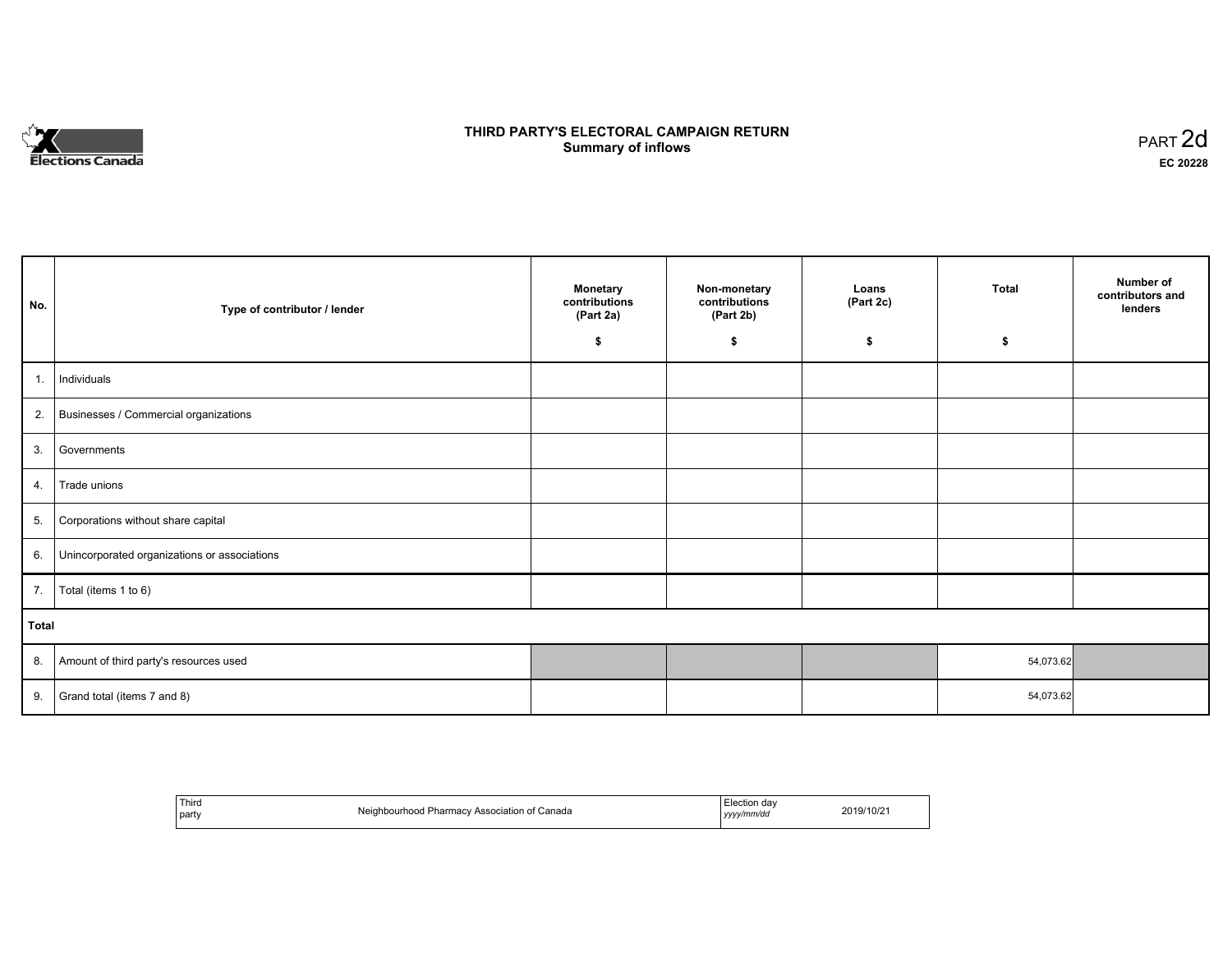

## **THIRD PARTY'S ELECTORAL CAMPAIGN RETURN S** ELECTORAL CAMPAIGN RETURN<br>Summary of inflows PART 2d

| No.   | Type of contributor / lender                    | <b>Monetary</b><br>contributions<br>(Part 2a)<br>\$ | Non-monetary<br>contributions<br>(Part 2b)<br>\$ | Loans<br>(Part 2c)<br>\$ | <b>Total</b><br>\$ | Number of<br>contributors and<br>lenders |
|-------|-------------------------------------------------|-----------------------------------------------------|--------------------------------------------------|--------------------------|--------------------|------------------------------------------|
|       |                                                 |                                                     |                                                  |                          |                    |                                          |
| 1.    | Individuals                                     |                                                     |                                                  |                          |                    |                                          |
|       | 2. Businesses / Commercial organizations        |                                                     |                                                  |                          |                    |                                          |
| 3.    | Governments                                     |                                                     |                                                  |                          |                    |                                          |
| 4.    | Trade unions                                    |                                                     |                                                  |                          |                    |                                          |
| 5.    | Corporations without share capital              |                                                     |                                                  |                          |                    |                                          |
|       | 6. Unincorporated organizations or associations |                                                     |                                                  |                          |                    |                                          |
|       | 7.   Total (items 1 to 6)                       |                                                     |                                                  |                          |                    |                                          |
| Total |                                                 |                                                     |                                                  |                          |                    |                                          |
|       | 8. Amount of third party's resources used       |                                                     |                                                  |                          | 54,073.62          |                                          |
| 9.    | Grand total (items 7 and 8)                     |                                                     |                                                  |                          | 54,073.62          |                                          |

| Third<br>party | Neighbourhood Pharmacy Association of Canada | -<br>Election day<br>yyyy/mm/dd | 2019/10/21 |
|----------------|----------------------------------------------|---------------------------------|------------|
|----------------|----------------------------------------------|---------------------------------|------------|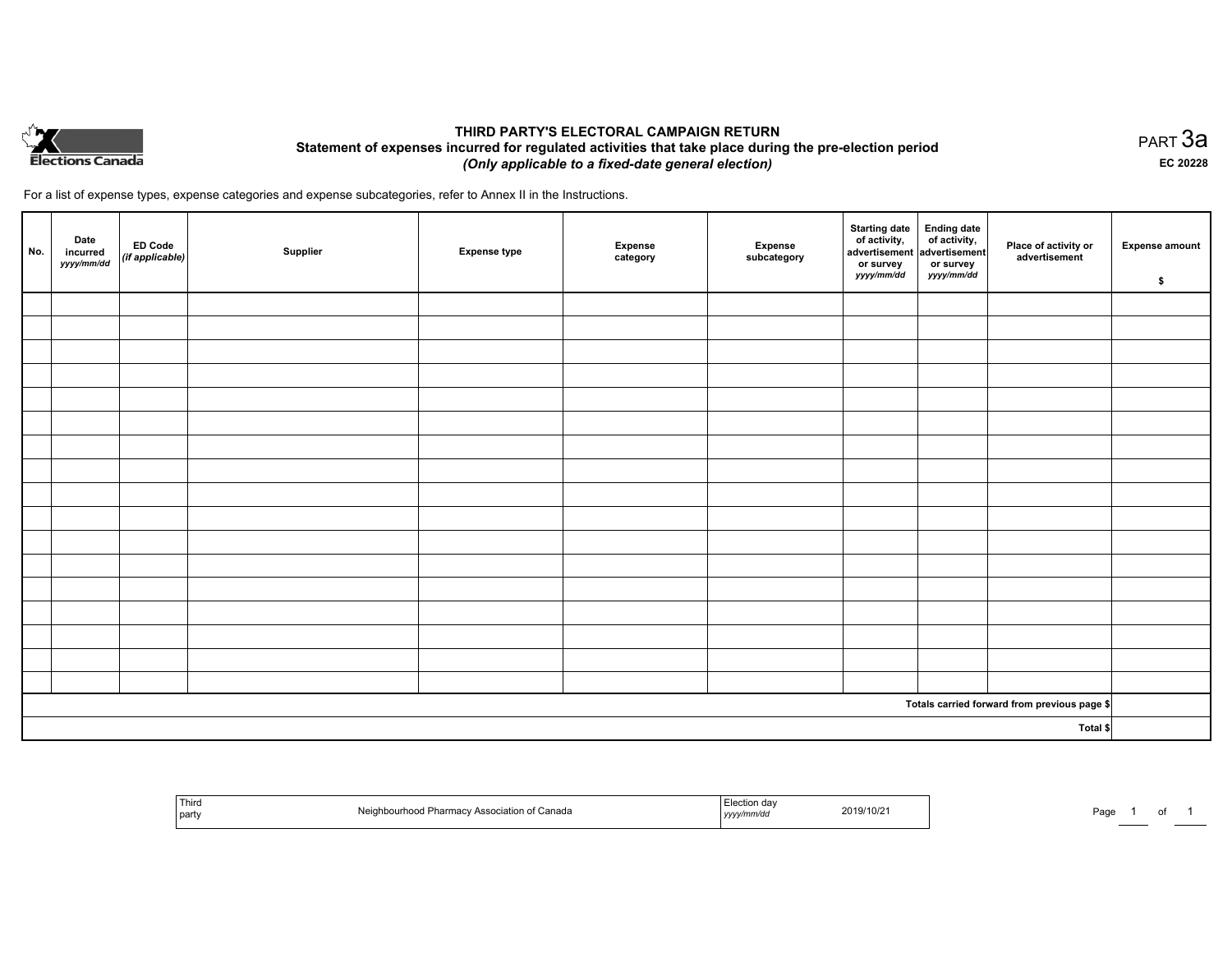

## **THIRD PARTY'S ELECTORAL CAMPAIGN RETURN Statement of expenses incurred for regulated activities that take place during the pre-election period**  *(Only applicable to a fixed-date general election)*

For a list of expense types, expense categories and expense subcategories, refer to Annex II in the Instructions.

| No. | Date<br>incurred<br>yyyy/mm/dd | <b>ED Code</b><br>(if applicable) | Supplier | <b>Expense type</b> | <b>Expense</b><br>category | Expense<br>subcategory | <b>Starting date</b><br>of activity,<br>advertisement<br>or survey<br>yyyy/mm/dd | Ending date<br>of activity,<br>advertisement<br>or survey<br>yyyy/mm/dd | Place of activity or<br>advertisement        | <b>Expense amount</b><br>\$ |
|-----|--------------------------------|-----------------------------------|----------|---------------------|----------------------------|------------------------|----------------------------------------------------------------------------------|-------------------------------------------------------------------------|----------------------------------------------|-----------------------------|
|     |                                |                                   |          |                     |                            |                        |                                                                                  |                                                                         |                                              |                             |
|     |                                |                                   |          |                     |                            |                        |                                                                                  |                                                                         |                                              |                             |
|     |                                |                                   |          |                     |                            |                        |                                                                                  |                                                                         |                                              |                             |
|     |                                |                                   |          |                     |                            |                        |                                                                                  |                                                                         |                                              |                             |
|     |                                |                                   |          |                     |                            |                        |                                                                                  |                                                                         |                                              |                             |
|     |                                |                                   |          |                     |                            |                        |                                                                                  |                                                                         |                                              |                             |
|     |                                |                                   |          |                     |                            |                        |                                                                                  |                                                                         |                                              |                             |
|     |                                |                                   |          |                     |                            |                        |                                                                                  |                                                                         |                                              |                             |
|     |                                |                                   |          |                     |                            |                        |                                                                                  |                                                                         |                                              |                             |
|     |                                |                                   |          |                     |                            |                        |                                                                                  |                                                                         |                                              |                             |
|     |                                |                                   |          |                     |                            |                        |                                                                                  |                                                                         |                                              |                             |
|     |                                |                                   |          |                     |                            |                        |                                                                                  |                                                                         |                                              |                             |
|     |                                |                                   |          |                     |                            |                        |                                                                                  |                                                                         |                                              |                             |
|     |                                |                                   |          |                     |                            |                        |                                                                                  |                                                                         |                                              |                             |
|     |                                |                                   |          |                     |                            |                        |                                                                                  |                                                                         |                                              |                             |
|     |                                |                                   |          |                     |                            |                        |                                                                                  |                                                                         |                                              |                             |
|     |                                |                                   |          |                     |                            |                        |                                                                                  |                                                                         |                                              |                             |
|     |                                |                                   |          |                     |                            |                        |                                                                                  |                                                                         | Totals carried forward from previous page \$ |                             |
|     |                                |                                   |          |                     |                            |                        |                                                                                  |                                                                         | Total \$                                     |                             |

| ' Thir<br>party | Neia<br>. Canada<br>at Pharmac<br>urhood | 2019/10/2 <sup>.</sup><br>.<br>. | Pag |
|-----------------|------------------------------------------|----------------------------------|-----|
|-----------------|------------------------------------------|----------------------------------|-----|

PART 3a **EC 20228**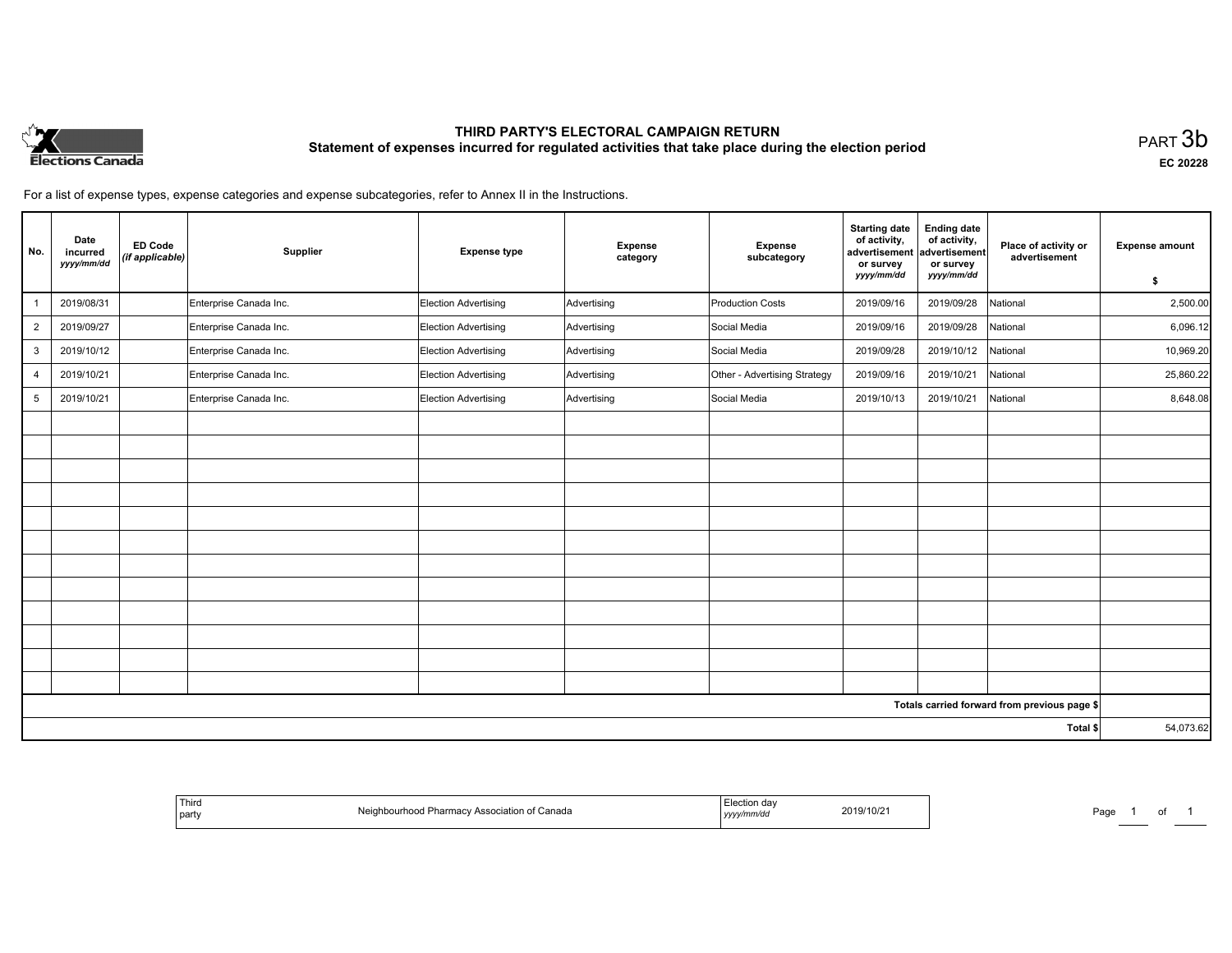

# **THIRD PARTY'S ELECTORAL CAMPAIGN RETURN Statement of expenses incurred for regulated activities that take place during the election period**<br>PART  $3\mathsf{b}$

**EC 20228**

For a list of expense types, expense categories and expense subcategories, refer to Annex II in the Instructions.

| No.            | Date<br>incurred<br>yyyy/mm/dd | <b>ED Code</b><br>(if applicable) | Supplier               | <b>Expense type</b>  | Expense<br>category | <b>Expense</b><br>subcategory | <b>Starting date</b><br>of activity,<br>advertisement<br>or survey<br>yyyy/mm/dd | <b>Ending date</b><br>of activity,<br>advertisement<br>or survey<br>yyyy/mm/dd | Place of activity or<br>advertisement        | <b>Expense amount</b> |
|----------------|--------------------------------|-----------------------------------|------------------------|----------------------|---------------------|-------------------------------|----------------------------------------------------------------------------------|--------------------------------------------------------------------------------|----------------------------------------------|-----------------------|
|                | 2019/08/31                     |                                   |                        |                      |                     | Production Costs              |                                                                                  |                                                                                | National                                     | \$<br>2,500.00        |
|                |                                |                                   | Enterprise Canada Inc. | Election Advertising | Advertising         |                               | 2019/09/16                                                                       | 2019/09/28                                                                     |                                              |                       |
| $\overline{2}$ | 2019/09/27                     |                                   | Enterprise Canada Inc. | Election Advertising | Advertising         | Social Media                  | 2019/09/16                                                                       | 2019/09/28                                                                     | National                                     | 6,096.12              |
| 3              | 2019/10/12                     |                                   | Enterprise Canada Inc. | Election Advertising | Advertising         | Social Media                  | 2019/09/28                                                                       | 2019/10/12                                                                     | National                                     | 10,969.20             |
| $\overline{4}$ | 2019/10/21                     |                                   | Enterprise Canada Inc. | Election Advertising | Advertising         | Other - Advertising Strategy  | 2019/09/16                                                                       | 2019/10/21                                                                     | National                                     | 25,860.22             |
| 5              | 2019/10/21                     |                                   | Enterprise Canada Inc. | Election Advertising | Advertising         | Social Media                  | 2019/10/13                                                                       | 2019/10/21                                                                     | National                                     | 8,648.08              |
|                |                                |                                   |                        |                      |                     |                               |                                                                                  |                                                                                |                                              |                       |
|                |                                |                                   |                        |                      |                     |                               |                                                                                  |                                                                                |                                              |                       |
|                |                                |                                   |                        |                      |                     |                               |                                                                                  |                                                                                |                                              |                       |
|                |                                |                                   |                        |                      |                     |                               |                                                                                  |                                                                                |                                              |                       |
|                |                                |                                   |                        |                      |                     |                               |                                                                                  |                                                                                |                                              |                       |
|                |                                |                                   |                        |                      |                     |                               |                                                                                  |                                                                                |                                              |                       |
|                |                                |                                   |                        |                      |                     |                               |                                                                                  |                                                                                |                                              |                       |
|                |                                |                                   |                        |                      |                     |                               |                                                                                  |                                                                                |                                              |                       |
|                |                                |                                   |                        |                      |                     |                               |                                                                                  |                                                                                |                                              |                       |
|                |                                |                                   |                        |                      |                     |                               |                                                                                  |                                                                                |                                              |                       |
|                |                                |                                   |                        |                      |                     |                               |                                                                                  |                                                                                |                                              |                       |
|                |                                |                                   |                        |                      |                     |                               |                                                                                  |                                                                                |                                              |                       |
|                |                                |                                   |                        |                      |                     |                               |                                                                                  |                                                                                | Totals carried forward from previous page \$ |                       |
|                |                                |                                   |                        |                      |                     |                               |                                                                                  |                                                                                | Total \$                                     | 54,073.62             |

| <b>Third</b><br>the contract of the contract of the contract of<br>  part | : Canada | ua<br>//mm/dc<br>, yyyyı'<br>$\sim$ $\sim$ | 2019/10/2 | Page |  |  |  |
|---------------------------------------------------------------------------|----------|--------------------------------------------|-----------|------|--|--|--|
|---------------------------------------------------------------------------|----------|--------------------------------------------|-----------|------|--|--|--|